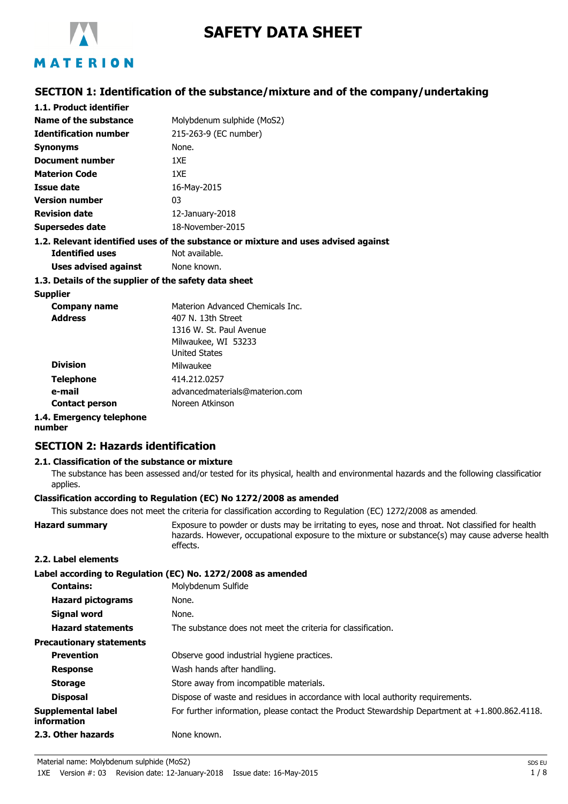

# **SAFETY DATA SHEET**

## **SECTION 1: Identification of the substance/mixture and of the company/undertaking**

| 1.1. Product identifier                                                            |                            |  |
|------------------------------------------------------------------------------------|----------------------------|--|
| Name of the substance                                                              | Molybdenum sulphide (MoS2) |  |
| <b>Identification number</b>                                                       | 215-263-9 (EC number)      |  |
| <b>Synonyms</b>                                                                    | None.                      |  |
| Document number                                                                    | 1XF                        |  |
| <b>Materion Code</b>                                                               | 1XE                        |  |
| Issue date                                                                         | 16-May-2015                |  |
| <b>Version number</b>                                                              | 03                         |  |
| <b>Revision date</b>                                                               | $12$ -January-2018         |  |
| Supersedes date                                                                    | 18-November-2015           |  |
| 1.2. Relevant identified uses of the substance or mixture and uses advised against |                            |  |
| <b>Identified uses</b>                                                             | Not available.             |  |

**Uses advised against** None known.

#### **1.3. Details of the supplier of the safety data sheet**

#### **Supplier**

| <b>Company name</b>      | Materion Advanced Chemicals Inc. |
|--------------------------|----------------------------------|
| <b>Address</b>           | 407 N. 13th Street               |
|                          | 1316 W. St. Paul Avenue          |
|                          | Milwaukee, WI 53233              |
|                          | <b>United States</b>             |
| <b>Division</b>          | Milwaukee                        |
| <b>Telephone</b>         | 414.212.0257                     |
| e-mail                   | advancedmaterials@materion.com   |
| <b>Contact person</b>    | Noreen Atkinson                  |
| 1.4. Emergency telephone |                                  |

#### **number**

## **SECTION 2: Hazards identification**

#### **2.1. Classification of the substance or mixture**

The substance has been assessed and/or tested for its physical, health and environmental hazards and the following classification applies.

#### **Classification according to Regulation (EC) No 1272/2008 as amended**

This substance does not meet the criteria for classification according to Regulation (EC) 1272/2008 as amended.

| <b>Hazard summary</b> | Exposure to powder or dusts may be irritating to eyes, nose and throat. Not classified for health<br>hazards. However, occupational exposure to the mixture or substance(s) may cause adverse health<br>effects. |
|-----------------------|------------------------------------------------------------------------------------------------------------------------------------------------------------------------------------------------------------------|
| 2.2. Label elements   |                                                                                                                                                                                                                  |

|                                                 | Label according to Regulation (EC) No. 1272/2008 as amended                                       |
|-------------------------------------------------|---------------------------------------------------------------------------------------------------|
| <b>Contains:</b>                                | Molybdenum Sulfide                                                                                |
| <b>Hazard pictograms</b>                        | None.                                                                                             |
| Signal word                                     | None.                                                                                             |
| <b>Hazard statements</b>                        | The substance does not meet the criteria for classification.                                      |
| <b>Precautionary statements</b>                 |                                                                                                   |
| <b>Prevention</b>                               | Observe good industrial hygiene practices.                                                        |
| <b>Response</b>                                 | Wash hands after handling.                                                                        |
| <b>Storage</b>                                  | Store away from incompatible materials.                                                           |
| <b>Disposal</b>                                 | Dispose of waste and residues in accordance with local authority requirements.                    |
| <b>Supplemental label</b><br><b>information</b> | For further information, please contact the Product Stewardship Department at $+1.800.862.4118$ . |
| 2.3. Other hazards                              | None known.                                                                                       |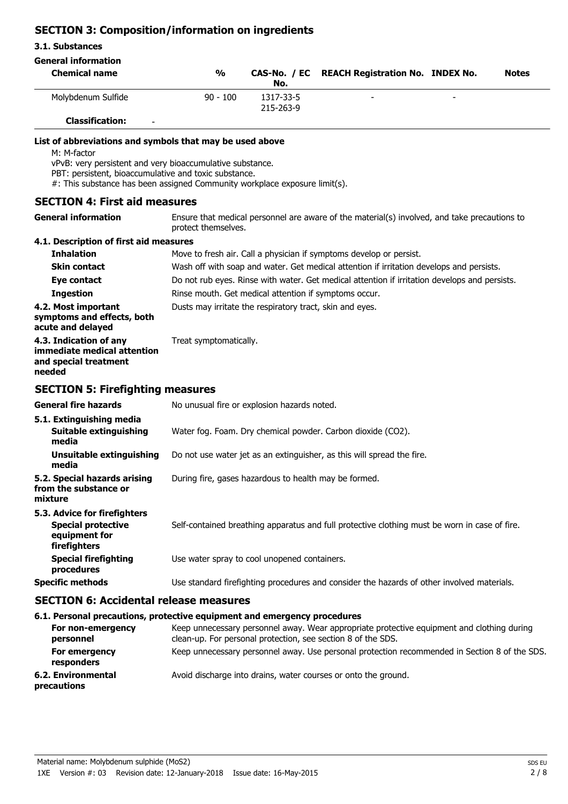## **SECTION 3: Composition/information on ingredients**

#### **3.1. Substances**

## **General information**

| <b>Chemical name</b>                                                                                                                                                                                                                                                        | $\frac{0}{0}$       | No.                    | CAS-No. / EC REACH Registration No. INDEX No.                                                | <b>Notes</b> |
|-----------------------------------------------------------------------------------------------------------------------------------------------------------------------------------------------------------------------------------------------------------------------------|---------------------|------------------------|----------------------------------------------------------------------------------------------|--------------|
| Molybdenum Sulfide                                                                                                                                                                                                                                                          | $90 - 100$          | 1317-33-5<br>215-263-9 |                                                                                              |              |
| <b>Classification:</b>                                                                                                                                                                                                                                                      |                     |                        |                                                                                              |              |
| List of abbreviations and symbols that may be used above<br>M: M-factor<br>vPvB: very persistent and very bioaccumulative substance.<br>PBT: persistent, bioaccumulative and toxic substance.<br>#: This substance has been assigned Community workplace exposure limit(s). |                     |                        |                                                                                              |              |
| <b>SECTION 4: First aid measures</b>                                                                                                                                                                                                                                        |                     |                        |                                                                                              |              |
| <b>General information</b>                                                                                                                                                                                                                                                  | protect themselves. |                        | Ensure that medical personnel are aware of the material(s) involved, and take precautions to |              |

## **4.1. Description of first aid measures**

| <b>Inhalation</b>                                                                          | Move to fresh air. Call a physician if symptoms develop or persist.                           |
|--------------------------------------------------------------------------------------------|-----------------------------------------------------------------------------------------------|
| <b>Skin contact</b>                                                                        | Wash off with soap and water. Get medical attention if irritation develops and persists.      |
| Eye contact                                                                                | Do not rub eyes. Rinse with water. Get medical attention if irritation develops and persists. |
| <b>Ingestion</b>                                                                           | Rinse mouth. Get medical attention if symptoms occur.                                         |
| 4.2. Most important<br>symptoms and effects, both<br>acute and delayed                     | Dusts may irritate the respiratory tract, skin and eyes.                                      |
| 4.3. Indication of any<br>immediate medical attention<br>and special treatment<br>needed   | Treat symptomatically.                                                                        |
| <b>SECTION 5: Firefighting measures</b>                                                    |                                                                                               |
| <b>General fire hazards</b>                                                                | No unusual fire or explosion hazards noted.                                                   |
| 5.1. Extinguishing media<br><b>Suitable extinguishing</b><br>media                         | Water fog. Foam. Dry chemical powder. Carbon dioxide (CO2).                                   |
| <b>Unsuitable extinguishing</b><br>media                                                   | Do not use water jet as an extinguisher, as this will spread the fire.                        |
| 5.2. Special hazards arising<br>from the substance or<br>mixture                           | During fire, gases hazardous to health may be formed.                                         |
| 5.3. Advice for firefighters<br><b>Special protective</b><br>equipment for<br>firefighters | Self-contained breathing apparatus and full protective clothing must be worn in case of fire. |
| <b>Special firefighting</b><br>procedures                                                  | Use water spray to cool unopened containers.                                                  |
| <b>Specific methods</b>                                                                    | Use standard firefighting procedures and consider the hazards of other involved materials.    |

#### **SECTION 6: Accidental release measures**

## **6.1. Personal precautions, protective equipment and emergency procedures**

| For non-emergency<br>personnel    | Keep unnecessary personnel away. Wear appropriate protective equipment and clothing during<br>clean-up. For personal protection, see section 8 of the SDS. |
|-----------------------------------|------------------------------------------------------------------------------------------------------------------------------------------------------------|
| For emergency<br>responders       | Keep unnecessary personnel away. Use personal protection recommended in Section 8 of the SDS.                                                              |
| 6.2. Environmental<br>precautions | Avoid discharge into drains, water courses or onto the ground.                                                                                             |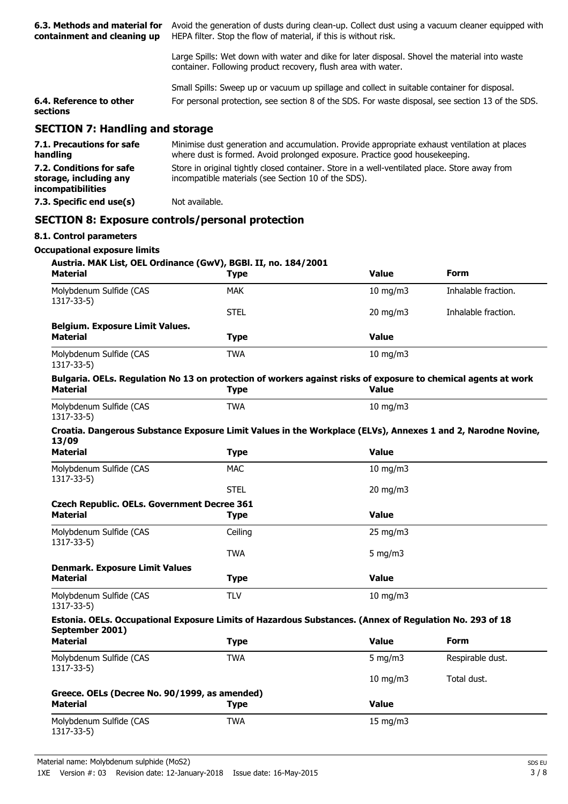| 6.3. Methods and material for<br>containment and cleaning up            | Avoid the generation of dusts during clean-up. Collect dust using a vacuum cleaner equipped with<br>HEPA filter. Stop the flow of material, if this is without risk.        |                                                                                                                                                      |                     |  |
|-------------------------------------------------------------------------|-----------------------------------------------------------------------------------------------------------------------------------------------------------------------------|------------------------------------------------------------------------------------------------------------------------------------------------------|---------------------|--|
|                                                                         | Large Spills: Wet down with water and dike for later disposal. Shovel the material into waste<br>container. Following product recovery, flush area with water.              |                                                                                                                                                      |                     |  |
|                                                                         | Small Spills: Sweep up or vacuum up spillage and collect in suitable container for disposal.                                                                                |                                                                                                                                                      |                     |  |
| 6.4. Reference to other<br>sections                                     | For personal protection, see section 8 of the SDS. For waste disposal, see section 13 of the SDS.                                                                           |                                                                                                                                                      |                     |  |
| <b>SECTION 7: Handling and storage</b>                                  |                                                                                                                                                                             |                                                                                                                                                      |                     |  |
| 7.1. Precautions for safe<br>handling                                   | Minimise dust generation and accumulation. Provide appropriate exhaust ventilation at places<br>where dust is formed. Avoid prolonged exposure. Practice good housekeeping. |                                                                                                                                                      |                     |  |
| 7.2. Conditions for safe<br>storage, including any<br>incompatibilities |                                                                                                                                                                             | Store in original tightly closed container. Store in a well-ventilated place. Store away from<br>incompatible materials (see Section 10 of the SDS). |                     |  |
| 7.3. Specific end use(s)                                                | Not available.                                                                                                                                                              |                                                                                                                                                      |                     |  |
|                                                                         | <b>SECTION 8: Exposure controls/personal protection</b>                                                                                                                     |                                                                                                                                                      |                     |  |
| 8.1. Control parameters                                                 |                                                                                                                                                                             |                                                                                                                                                      |                     |  |
| <b>Occupational exposure limits</b>                                     |                                                                                                                                                                             |                                                                                                                                                      |                     |  |
| <b>Material</b>                                                         | Austria. MAK List, OEL Ordinance (GwV), BGBI. II, no. 184/2001<br><b>Type</b>                                                                                               | <b>Value</b>                                                                                                                                         | Form                |  |
| Molybdenum Sulfide (CAS                                                 | <b>MAK</b>                                                                                                                                                                  | 10 mg/m $3$                                                                                                                                          | Inhalable fraction. |  |
| 1317-33-5)                                                              | <b>STEL</b>                                                                                                                                                                 | 20 mg/m3                                                                                                                                             | Inhalable fraction. |  |
| <b>Belgium. Exposure Limit Values.</b><br><b>Material</b>               | <b>Type</b>                                                                                                                                                                 | <b>Value</b>                                                                                                                                         |                     |  |
| Molybdenum Sulfide (CAS<br>1317-33-5)                                   | <b>TWA</b>                                                                                                                                                                  | 10 mg/m3                                                                                                                                             |                     |  |
| <b>Material</b>                                                         | Bulgaria. OELs. Regulation No 13 on protection of workers against risks of exposure to chemical agents at work<br><b>Type</b>                                               | <b>Value</b>                                                                                                                                         |                     |  |
| Molybdenum Sulfide (CAS<br>1317-33-5)                                   | <b>TWA</b>                                                                                                                                                                  | $10$ mg/m $3$                                                                                                                                        |                     |  |
| 13/09                                                                   | Croatia. Dangerous Substance Exposure Limit Values in the Workplace (ELVs), Annexes 1 and 2, Narodne Novine,                                                                |                                                                                                                                                      |                     |  |
| <b>Material</b>                                                         | <b>Type</b>                                                                                                                                                                 | <b>Value</b>                                                                                                                                         |                     |  |
| Molybdenum Sulfide (CAS<br>1317-33-5)                                   | <b>MAC</b>                                                                                                                                                                  | 10 mg/m3                                                                                                                                             |                     |  |
|                                                                         | <b>STEL</b>                                                                                                                                                                 | 20 mg/m3                                                                                                                                             |                     |  |
| <b>Czech Republic. OELs. Government Decree 361</b><br><b>Material</b>   | <b>Type</b>                                                                                                                                                                 | <b>Value</b>                                                                                                                                         |                     |  |
| Molybdenum Sulfide (CAS                                                 | Ceiling                                                                                                                                                                     | 25 mg/m3                                                                                                                                             |                     |  |
| $1317 - 33 - 5$                                                         | <b>TWA</b>                                                                                                                                                                  | 5 mg/m $3$                                                                                                                                           |                     |  |
| <b>Denmark. Exposure Limit Values</b>                                   |                                                                                                                                                                             |                                                                                                                                                      |                     |  |
| <b>Material</b>                                                         | <b>Type</b>                                                                                                                                                                 | <b>Value</b>                                                                                                                                         |                     |  |
| Molybdenum Sulfide (CAS<br>1317-33-5)                                   | <b>TLV</b>                                                                                                                                                                  | 10 mg/m3                                                                                                                                             |                     |  |
|                                                                         | Estonia. OELs. Occupational Exposure Limits of Hazardous Substances. (Annex of Regulation No. 293 of 18                                                                     |                                                                                                                                                      |                     |  |
| September 2001)<br><b>Material</b>                                      | <b>Type</b>                                                                                                                                                                 | <b>Value</b>                                                                                                                                         | <b>Form</b>         |  |
| Molybdenum Sulfide (CAS                                                 | <b>TWA</b>                                                                                                                                                                  | 5 mg/m $3$                                                                                                                                           | Respirable dust.    |  |
| 1317-33-5)                                                              |                                                                                                                                                                             | $10$ mg/m $3$                                                                                                                                        | Total dust.         |  |
| Greece. OELs (Decree No. 90/1999, as amended)<br><b>Material</b>        | <b>Type</b>                                                                                                                                                                 | <b>Value</b>                                                                                                                                         |                     |  |
| Molybdenum Sulfide (CAS<br>1317-33-5)                                   | <b>TWA</b>                                                                                                                                                                  | $15$ mg/m $3$                                                                                                                                        |                     |  |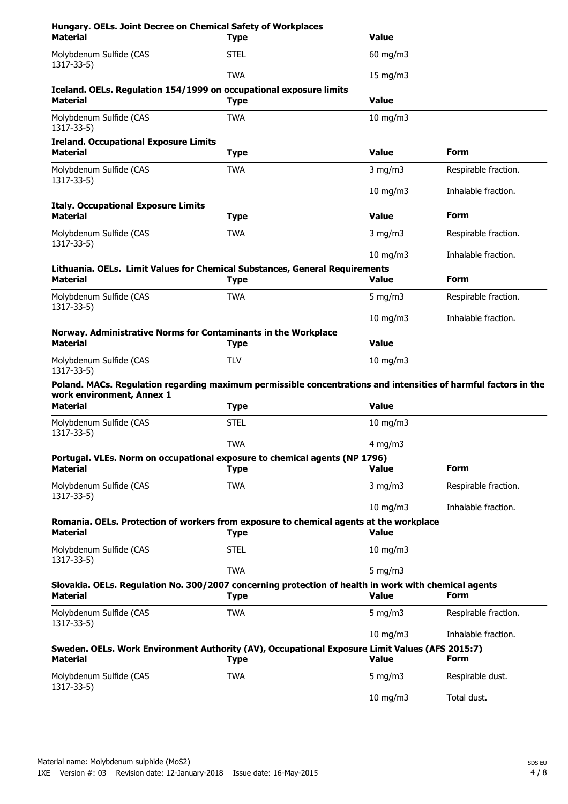| Hungary. OELs. Joint Decree on Chemical Safety of Workplaces<br><b>Material</b>                                                              | <b>Type</b> | <b>Value</b>  |                      |
|----------------------------------------------------------------------------------------------------------------------------------------------|-------------|---------------|----------------------|
| Molybdenum Sulfide (CAS<br>1317-33-5)                                                                                                        | <b>STEL</b> | 60 mg/m3      |                      |
|                                                                                                                                              | <b>TWA</b>  | $15$ mg/m $3$ |                      |
| Iceland. OELs. Regulation 154/1999 on occupational exposure limits<br><b>Material</b>                                                        | <b>Type</b> | <b>Value</b>  |                      |
| Molybdenum Sulfide (CAS<br>1317-33-5)                                                                                                        | <b>TWA</b>  | $10$ mg/m $3$ |                      |
| <b>Ireland. Occupational Exposure Limits</b><br><b>Material</b>                                                                              | <b>Type</b> | <b>Value</b>  | <b>Form</b>          |
| Molybdenum Sulfide (CAS<br>1317-33-5)                                                                                                        | <b>TWA</b>  | $3$ mg/m $3$  | Respirable fraction. |
|                                                                                                                                              |             | 10 mg/m3      | Inhalable fraction.  |
| <b>Italy. Occupational Exposure Limits</b>                                                                                                   |             |               | <b>Form</b>          |
| <b>Material</b>                                                                                                                              | <b>Type</b> | <b>Value</b>  |                      |
| Molybdenum Sulfide (CAS<br>1317-33-5)                                                                                                        | <b>TWA</b>  | $3$ mg/m $3$  | Respirable fraction. |
| Lithuania. OELs. Limit Values for Chemical Substances, General Requirements                                                                  |             | 10 mg/m3      | Inhalable fraction.  |
| <b>Material</b>                                                                                                                              | <b>Type</b> | <b>Value</b>  | <b>Form</b>          |
| Molybdenum Sulfide (CAS<br>1317-33-5)                                                                                                        | <b>TWA</b>  | 5 mg/m $3$    | Respirable fraction. |
|                                                                                                                                              |             | $10$ mg/m $3$ | Inhalable fraction.  |
| Norway. Administrative Norms for Contaminants in the Workplace<br><b>Material</b>                                                            | <b>Type</b> | <b>Value</b>  |                      |
| Molybdenum Sulfide (CAS<br>1317-33-5)                                                                                                        | <b>TLV</b>  | $10$ mg/m $3$ |                      |
| Poland. MACs. Regulation regarding maximum permissible concentrations and intensities of harmful factors in the<br>work environment, Annex 1 |             |               |                      |
| <b>Material</b>                                                                                                                              | <b>Type</b> | <b>Value</b>  |                      |
| Molybdenum Sulfide (CAS<br>1317-33-5)                                                                                                        | <b>STEL</b> | $10$ mg/m $3$ |                      |
|                                                                                                                                              | <b>TWA</b>  | $4$ mg/m $3$  |                      |
| Portugal. VLEs. Norm on occupational exposure to chemical agents (NP 1796)<br><b>Material</b>                                                | <b>Type</b> | <b>Value</b>  | <b>Form</b>          |
| Molybdenum Sulfide (CAS                                                                                                                      | <b>TWA</b>  | $3$ mg/m $3$  | Respirable fraction. |
| 1317-33-5)                                                                                                                                   |             | $10$ mg/m $3$ | Inhalable fraction.  |
| Romania. OELs. Protection of workers from exposure to chemical agents at the workplace<br>Material                                           | <b>Type</b> | <b>Value</b>  |                      |
| Molybdenum Sulfide (CAS<br>1317-33-5)                                                                                                        | <b>STEL</b> | $10$ mg/m $3$ |                      |
|                                                                                                                                              | <b>TWA</b>  | 5 mg/m $3$    |                      |
| Slovakia. OELs. Regulation No. 300/2007 concerning protection of health in work with chemical agents<br><b>Material</b>                      | <b>Type</b> | <b>Value</b>  | <b>Form</b>          |
| Molybdenum Sulfide (CAS<br>1317-33-5)                                                                                                        | <b>TWA</b>  | 5 mg/m $3$    | Respirable fraction. |
|                                                                                                                                              |             | 10 mg/m3      | Inhalable fraction.  |
| Sweden. OELs. Work Environment Authority (AV), Occupational Exposure Limit Values (AFS 2015:7)<br><b>Material</b>                            | <b>Type</b> | <b>Value</b>  | <b>Form</b>          |
| Molybdenum Sulfide (CAS<br>1317-33-5)                                                                                                        | <b>TWA</b>  | 5 mg/m $3$    | Respirable dust.     |
|                                                                                                                                              |             | 10 mg/m3      | Total dust.          |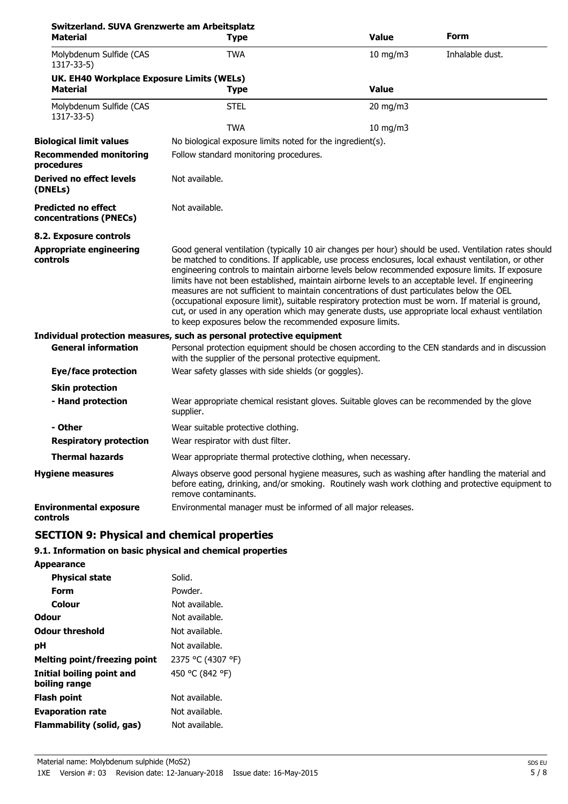| Switzerland. SUVA Grenzwerte am Arbeitsplatz<br>Material | <b>Type</b>                                                                                                                                                                                                                                                                                                                                                                                                                                                                                                                                                                                                                                                                                                                                                                                | <b>Value</b> | Form            |
|----------------------------------------------------------|--------------------------------------------------------------------------------------------------------------------------------------------------------------------------------------------------------------------------------------------------------------------------------------------------------------------------------------------------------------------------------------------------------------------------------------------------------------------------------------------------------------------------------------------------------------------------------------------------------------------------------------------------------------------------------------------------------------------------------------------------------------------------------------------|--------------|-----------------|
| Molybdenum Sulfide (CAS<br>$1317 - 33 - 5$               | <b>TWA</b>                                                                                                                                                                                                                                                                                                                                                                                                                                                                                                                                                                                                                                                                                                                                                                                 | 10 mg/m3     | Inhalable dust. |
| UK. EH40 Workplace Exposure Limits (WELs)<br>Material    | <b>Type</b>                                                                                                                                                                                                                                                                                                                                                                                                                                                                                                                                                                                                                                                                                                                                                                                | <b>Value</b> |                 |
|                                                          |                                                                                                                                                                                                                                                                                                                                                                                                                                                                                                                                                                                                                                                                                                                                                                                            |              |                 |
| Molybdenum Sulfide (CAS<br>1317-33-5)                    | <b>STEL</b>                                                                                                                                                                                                                                                                                                                                                                                                                                                                                                                                                                                                                                                                                                                                                                                | 20 mg/m3     |                 |
|                                                          | <b>TWA</b>                                                                                                                                                                                                                                                                                                                                                                                                                                                                                                                                                                                                                                                                                                                                                                                 | 10 mg/m3     |                 |
| <b>Biological limit values</b>                           | No biological exposure limits noted for the ingredient(s).                                                                                                                                                                                                                                                                                                                                                                                                                                                                                                                                                                                                                                                                                                                                 |              |                 |
| <b>Recommended monitoring</b><br>procedures              | Follow standard monitoring procedures.                                                                                                                                                                                                                                                                                                                                                                                                                                                                                                                                                                                                                                                                                                                                                     |              |                 |
| Derived no effect levels<br>(DNELs)                      | Not available.                                                                                                                                                                                                                                                                                                                                                                                                                                                                                                                                                                                                                                                                                                                                                                             |              |                 |
| <b>Predicted no effect</b><br>concentrations (PNECs)     | Not available.                                                                                                                                                                                                                                                                                                                                                                                                                                                                                                                                                                                                                                                                                                                                                                             |              |                 |
| 8.2. Exposure controls                                   |                                                                                                                                                                                                                                                                                                                                                                                                                                                                                                                                                                                                                                                                                                                                                                                            |              |                 |
| <b>Appropriate engineering</b><br>controls               | Good general ventilation (typically 10 air changes per hour) should be used. Ventilation rates should<br>be matched to conditions. If applicable, use process enclosures, local exhaust ventilation, or other<br>engineering controls to maintain airborne levels below recommended exposure limits. If exposure<br>limits have not been established, maintain airborne levels to an acceptable level. If engineering<br>measures are not sufficient to maintain concentrations of dust particulates below the OEL<br>(occupational exposure limit), suitable respiratory protection must be worn. If material is ground,<br>cut, or used in any operation which may generate dusts, use appropriate local exhaust ventilation<br>to keep exposures below the recommended exposure limits. |              |                 |
|                                                          | Individual protection measures, such as personal protective equipment                                                                                                                                                                                                                                                                                                                                                                                                                                                                                                                                                                                                                                                                                                                      |              |                 |
| <b>General information</b>                               | Personal protection equipment should be chosen according to the CEN standards and in discussion<br>with the supplier of the personal protective equipment.                                                                                                                                                                                                                                                                                                                                                                                                                                                                                                                                                                                                                                 |              |                 |
| <b>Eye/face protection</b>                               | Wear safety glasses with side shields (or goggles).                                                                                                                                                                                                                                                                                                                                                                                                                                                                                                                                                                                                                                                                                                                                        |              |                 |
| <b>Skin protection</b>                                   |                                                                                                                                                                                                                                                                                                                                                                                                                                                                                                                                                                                                                                                                                                                                                                                            |              |                 |
| - Hand protection                                        | Wear appropriate chemical resistant gloves. Suitable gloves can be recommended by the glove<br>supplier.                                                                                                                                                                                                                                                                                                                                                                                                                                                                                                                                                                                                                                                                                   |              |                 |
| - Other                                                  | Wear suitable protective clothing.                                                                                                                                                                                                                                                                                                                                                                                                                                                                                                                                                                                                                                                                                                                                                         |              |                 |
| <b>Respiratory protection</b>                            | Wear respirator with dust filter.                                                                                                                                                                                                                                                                                                                                                                                                                                                                                                                                                                                                                                                                                                                                                          |              |                 |
| <b>Thermal hazards</b>                                   | Wear appropriate thermal protective clothing, when necessary.                                                                                                                                                                                                                                                                                                                                                                                                                                                                                                                                                                                                                                                                                                                              |              |                 |
| <b>Hygiene measures</b>                                  | Always observe good personal hygiene measures, such as washing after handling the material and<br>before eating, drinking, and/or smoking. Routinely wash work clothing and protective equipment to<br>remove contaminants.                                                                                                                                                                                                                                                                                                                                                                                                                                                                                                                                                                |              |                 |
| <b>Environmental exposure</b><br>controls                | Environmental manager must be informed of all major releases.                                                                                                                                                                                                                                                                                                                                                                                                                                                                                                                                                                                                                                                                                                                              |              |                 |

## **SECTION 9: Physical and chemical properties**

## **9.1. Information on basic physical and chemical properties**

| <b>Appearance</b>                          |                   |
|--------------------------------------------|-------------------|
| <b>Physical state</b>                      | Solid.            |
| Form                                       | Powder.           |
| Colour                                     | Not available.    |
| Odour                                      | Not available.    |
| <b>Odour threshold</b>                     | Not available.    |
| рH                                         | Not available.    |
| <b>Melting point/freezing point</b>        | 2375 °C (4307 °F) |
| Initial boiling point and<br>boiling range | 450 °C (842 °F)   |
| <b>Flash point</b>                         | Not available.    |
| <b>Evaporation rate</b>                    | Not available.    |
| Flammability (solid, gas)                  | Not available.    |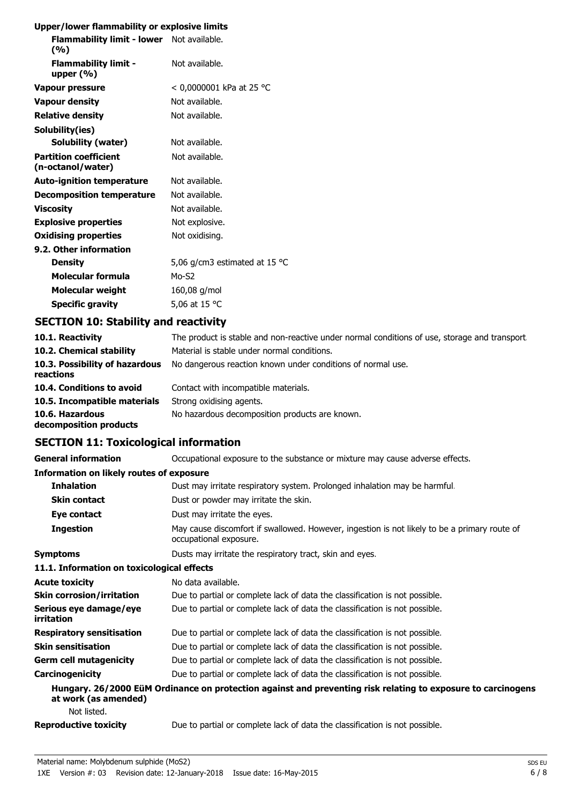## **Upper/lower flammability or explosive limits**

| Flammability limit - lower Not available.<br>(%)  |                               |
|---------------------------------------------------|-------------------------------|
| <b>Flammability limit -</b><br>upper $(% )$       | Not available.                |
| Vapour pressure                                   | < 0,0000001 kPa at 25 °C      |
| <b>Vapour density</b>                             | Not available.                |
| <b>Relative density</b>                           | Not available.                |
| Solubility(ies)                                   |                               |
| Solubility (water)                                | Not available.                |
| <b>Partition coefficient</b><br>(n-octanol/water) | Not available.                |
| <b>Auto-ignition temperature</b>                  | Not available.                |
| <b>Decomposition temperature</b>                  | Not available.                |
| <b>Viscosity</b>                                  | Not available.                |
| <b>Explosive properties</b>                       | Not explosive.                |
| <b>Oxidising properties</b>                       | Not oxidising.                |
| 9.2. Other information                            |                               |
| <b>Density</b>                                    | 5,06 g/cm3 estimated at 15 °C |
| Molecular formula                                 | $Mo-S2$                       |
| Molecular weight                                  | 160,08 g/mol                  |
| <b>Specific gravity</b>                           | 5,06 at 15 °C                 |
|                                                   |                               |

## **SECTION 10: Stability and reactivity**

| 10.1. Reactivity                            | The product is stable and non-reactive under normal conditions of use, storage and transport |
|---------------------------------------------|----------------------------------------------------------------------------------------------|
| 10.2. Chemical stability                    | Material is stable under normal conditions.                                                  |
| 10.3. Possibility of hazardous<br>reactions | No dangerous reaction known under conditions of normal use.                                  |
| 10.4. Conditions to avoid                   | Contact with incompatible materials.                                                         |
| 10.5. Incompatible materials                | Strong oxidising agents.                                                                     |
| 10.6. Hazardous<br>decomposition products   | No hazardous decomposition products are known.                                               |

## **SECTION 11: Toxicological information**

| <b>General information</b>                      | Occupational exposure to the substance or mixture may cause adverse effects.                                           |
|-------------------------------------------------|------------------------------------------------------------------------------------------------------------------------|
| <b>Information on likely routes of exposure</b> |                                                                                                                        |
| <b>Inhalation</b>                               | Dust may irritate respiratory system. Prolonged inhalation may be harmful.                                             |
| <b>Skin contact</b>                             | Dust or powder may irritate the skin.                                                                                  |
| Eye contact                                     | Dust may irritate the eyes.                                                                                            |
| <b>Ingestion</b>                                | May cause discomfort if swallowed. However, ingestion is not likely to be a primary route of<br>occupational exposure. |
| <b>Symptoms</b>                                 | Dusts may irritate the respiratory tract, skin and eyes.                                                               |
| 11.1. Information on toxicological effects      |                                                                                                                        |
| <b>Acute toxicity</b>                           | No data available.                                                                                                     |
| <b>Skin corrosion/irritation</b>                | Due to partial or complete lack of data the classification is not possible.                                            |
| Serious eye damage/eye<br>irritation            | Due to partial or complete lack of data the classification is not possible.                                            |
| <b>Respiratory sensitisation</b>                | Due to partial or complete lack of data the classification is not possible.                                            |
| <b>Skin sensitisation</b>                       | Due to partial or complete lack of data the classification is not possible.                                            |
| <b>Germ cell mutagenicity</b>                   | Due to partial or complete lack of data the classification is not possible.                                            |
| Carcinogenicity                                 | Due to partial or complete lack of data the classification is not possible.                                            |
| at work (as amended)                            | Hungary. 26/2000 EüM Ordinance on protection against and preventing risk relating to exposure to carcinogens           |
| Not listed.                                     |                                                                                                                        |
| <b>Reproductive toxicity</b>                    | Due to partial or complete lack of data the classification is not possible.                                            |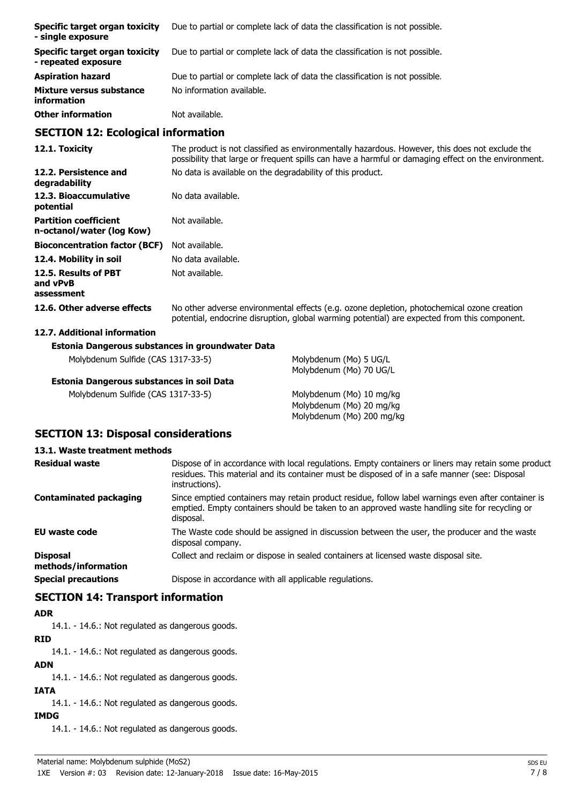| Specific target organ toxicity<br>- single exposure   | Due to partial or complete lack of data the classification is not possible. |
|-------------------------------------------------------|-----------------------------------------------------------------------------|
| Specific target organ toxicity<br>- repeated exposure | Due to partial or complete lack of data the classification is not possible. |
| <b>Aspiration hazard</b>                              | Due to partial or complete lack of data the classification is not possible. |
| Mixture versus substance<br>information               | No information available.                                                   |
| <b>Other information</b>                              | Not available.                                                              |

## **SECTION 12: Ecological information**

| 12.1. Toxicity                                            | The product is not classified as environmentally hazardous. However, this does not exclude the<br>possibility that large or frequent spills can have a harmful or damaging effect on the environment. |
|-----------------------------------------------------------|-------------------------------------------------------------------------------------------------------------------------------------------------------------------------------------------------------|
| 12.2. Persistence and<br>degradability                    | No data is available on the degradability of this product.                                                                                                                                            |
| 12.3. Bioaccumulative<br>potential                        | No data available.                                                                                                                                                                                    |
| <b>Partition coefficient</b><br>n-octanol/water (log Kow) | Not available.                                                                                                                                                                                        |
| <b>Bioconcentration factor (BCF)</b>                      | Not available.                                                                                                                                                                                        |
| 12.4. Mobility in soil                                    | No data available.                                                                                                                                                                                    |
| 12.5. Results of PBT<br>and vPvB<br>assessment            | Not available.                                                                                                                                                                                        |
| 12.6. Other adverse effects                               | No other adverse environmental effects (e.g. ozone depletion, photochemical ozone creation<br>potential, endocrine disruption, global warming potential) are expected from this component.            |

## **12.7. Additional information**

### **Estonia Dangerous substances in groundwater Data**

Molybdenum Sulfide (CAS 1317-33-5) Molybdenum (Mo) 5 UG/L **Estonia Dangerous substances in soil Data**

Molybdenum Sulfide (CAS 1317-33-5) Molybdenum (Mo) 10 mg/kg

Molybdenum (Mo) 70 UG/L

Molybdenum (Mo) 20 mg/kg Molybdenum (Mo) 200 mg/kg

## **SECTION 13: Disposal considerations**

## **13.1. Waste treatment methods**

| <b>Residual waste</b>                  | Dispose of in accordance with local regulations. Empty containers or liners may retain some product<br>residues. This material and its container must be disposed of in a safe manner (see: Disposal<br>instructions). |
|----------------------------------------|------------------------------------------------------------------------------------------------------------------------------------------------------------------------------------------------------------------------|
| Contaminated packaging                 | Since emptied containers may retain product residue, follow label warnings even after container is<br>emptied. Empty containers should be taken to an approved waste handling site for recycling or<br>disposal.       |
| <b>EU waste code</b>                   | The Waste code should be assigned in discussion between the user, the producer and the waste<br>disposal company.                                                                                                      |
| <b>Disposal</b><br>methods/information | Collect and reclaim or dispose in sealed containers at licensed waste disposal site.                                                                                                                                   |
| <b>Special precautions</b>             | Dispose in accordance with all applicable regulations.                                                                                                                                                                 |

## **SECTION 14: Transport information**

## **ADR**

14.1. - 14.6.: Not regulated as dangerous goods.

## **RID**

14.1. - 14.6.: Not regulated as dangerous goods.

**ADN** 14.1. - 14.6.: Not regulated as dangerous goods.

## **IATA**

14.1. - 14.6.: Not regulated as dangerous goods.

## **IMDG**

14.1. - 14.6.: Not regulated as dangerous goods.